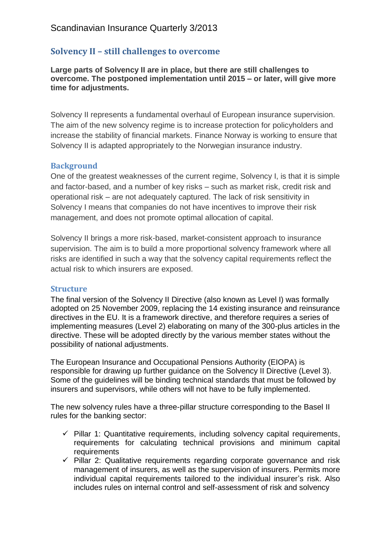# **Solvency II – still challenges to overcome**

**Large parts of Solvency II are in place, but there are still challenges to overcome. The postponed implementation until 2015 – or later, will give more time for adjustments.**

Solvency II represents a fundamental overhaul of European insurance supervision. The aim of the new solvency regime is to increase protection for policyholders and increase the stability of financial markets. Finance Norway is working to ensure that Solvency II is adapted appropriately to the Norwegian insurance industry.

## **Background**

One of the greatest weaknesses of the current regime, Solvency I, is that it is simple and factor-based, and a number of key risks – such as market risk, credit risk and operational risk – are not adequately captured. The lack of risk sensitivity in Solvency I means that companies do not have incentives to improve their risk management, and does not promote optimal allocation of capital.

Solvency II brings a more risk-based, market-consistent approach to insurance supervision. The aim is to build a more proportional solvency framework where all risks are identified in such a way that the solvency capital requirements reflect the actual risk to which insurers are exposed.

## **Structure**

The final version of the Solvency II Directive (also known as Level I) was formally adopted on 25 November 2009, replacing the 14 existing insurance and reinsurance directives in the EU. It is a framework directive, and therefore requires a series of implementing measures (Level 2) elaborating on many of the 300-plus articles in the directive. These will be adopted directly by the various member states without the possibility of national adjustments.

The European Insurance and Occupational Pensions Authority (EIOPA) is responsible for drawing up further guidance on the Solvency II Directive (Level 3). Some of the guidelines will be binding technical standards that must be followed by insurers and supervisors, while others will not have to be fully implemented.

The new solvency rules have a three-pillar structure corresponding to the Basel II rules for the banking sector:

- $\checkmark$  Pillar 1: Quantitative requirements, including solvency capital requirements, requirements for calculating technical provisions and minimum capital requirements
- $\checkmark$  Pillar 2: Qualitative requirements regarding corporate governance and risk management of insurers, as well as the supervision of insurers. Permits more individual capital requirements tailored to the individual insurer's risk. Also includes rules on internal control and self-assessment of risk and solvency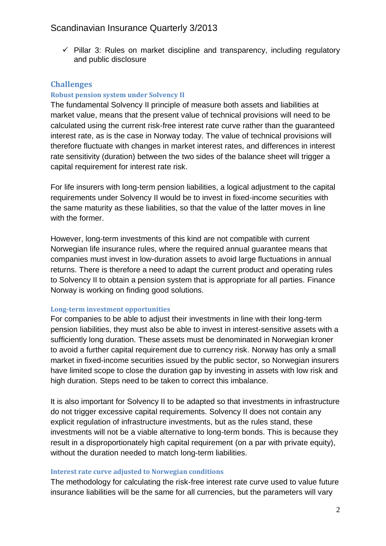$\checkmark$  Pillar 3: Rules on market discipline and transparency, including regulatory and public disclosure

## **Challenges**

## **Robust pension system under Solvency II**

The fundamental Solvency II principle of measure both assets and liabilities at market value, means that the present value of technical provisions will need to be calculated using the current risk-free interest rate curve rather than the guaranteed interest rate, as is the case in Norway today. The value of technical provisions will therefore fluctuate with changes in market interest rates, and differences in interest rate sensitivity (duration) between the two sides of the balance sheet will trigger a capital requirement for interest rate risk.

For life insurers with long-term pension liabilities, a logical adjustment to the capital requirements under Solvency II would be to invest in fixed-income securities with the same maturity as these liabilities, so that the value of the latter moves in line with the former.

However, long-term investments of this kind are not compatible with current Norwegian life insurance rules, where the required annual guarantee means that companies must invest in low-duration assets to avoid large fluctuations in annual returns. There is therefore a need to adapt the current product and operating rules to Solvency II to obtain a pension system that is appropriate for all parties. Finance Norway is working on finding good solutions.

## **Long-term investment opportunities**

For companies to be able to adjust their investments in line with their long-term pension liabilities, they must also be able to invest in interest-sensitive assets with a sufficiently long duration. These assets must be denominated in Norwegian kroner to avoid a further capital requirement due to currency risk. Norway has only a small market in fixed-income securities issued by the public sector, so Norwegian insurers have limited scope to close the duration gap by investing in assets with low risk and high duration. Steps need to be taken to correct this imbalance.

It is also important for Solvency II to be adapted so that investments in infrastructure do not trigger excessive capital requirements. Solvency II does not contain any explicit regulation of infrastructure investments, but as the rules stand, these investments will not be a viable alternative to long-term bonds. This is because they result in a disproportionately high capital requirement (on a par with private equity), without the duration needed to match long-term liabilities.

#### **Interest rate curve adjusted to Norwegian conditions**

The methodology for calculating the risk-free interest rate curve used to value future insurance liabilities will be the same for all currencies, but the parameters will vary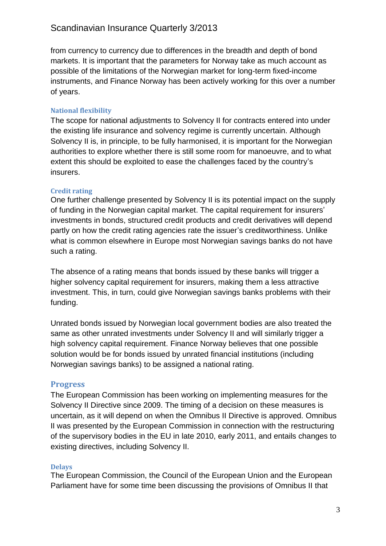# Scandinavian Insurance Quarterly 3/2013

from currency to currency due to differences in the breadth and depth of bond markets. It is important that the parameters for Norway take as much account as possible of the limitations of the Norwegian market for long-term fixed-income instruments, and Finance Norway has been actively working for this over a number of years.

## **National flexibility**

The scope for national adjustments to Solvency II for contracts entered into under the existing life insurance and solvency regime is currently uncertain. Although Solvency II is, in principle, to be fully harmonised, it is important for the Norwegian authorities to explore whether there is still some room for manoeuvre, and to what extent this should be exploited to ease the challenges faced by the country's insurers.

## **Credit rating**

One further challenge presented by Solvency II is its potential impact on the supply of funding in the Norwegian capital market. The capital requirement for insurers' investments in bonds, structured credit products and credit derivatives will depend partly on how the credit rating agencies rate the issuer's creditworthiness. Unlike what is common elsewhere in Europe most Norwegian savings banks do not have such a rating.

The absence of a rating means that bonds issued by these banks will trigger a higher solvency capital requirement for insurers, making them a less attractive investment. This, in turn, could give Norwegian savings banks problems with their funding.

Unrated bonds issued by Norwegian local government bodies are also treated the same as other unrated investments under Solvency II and will similarly trigger a high solvency capital requirement. Finance Norway believes that one possible solution would be for bonds issued by unrated financial institutions (including Norwegian savings banks) to be assigned a national rating.

# **Progress**

The European Commission has been working on implementing measures for the Solvency II Directive since 2009. The timing of a decision on these measures is uncertain, as it will depend on when the Omnibus II Directive is approved. Omnibus II was presented by the European Commission in connection with the restructuring of the supervisory bodies in the EU in late 2010, early 2011, and entails changes to existing directives, including Solvency II.

# **Delays**

The European Commission, the Council of the European Union and the European Parliament have for some time been discussing the provisions of Omnibus II that